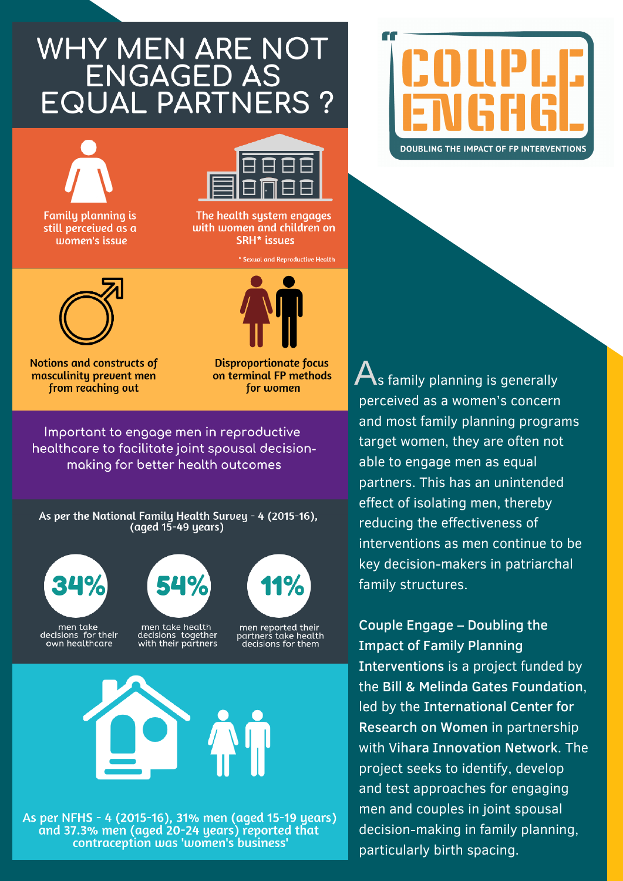## WHY MEN ARE NOT **ENGAGED AS EQUAL PARTNERS?**



**Family planning is** still perceived as a women's issue



The health system engages with women and children on **SRH\*** issues

\* Sexual and Reproductive Health



**Notions and constructs of** masculinitu prevent men from reaching out



**Disproportionate focus** on terminal FP methods for women

Important to engage men in reproductive healthcare to facilitate joint spousal decisionmaking for better health outcomes

As per the National Family Health Survey - 4 (2015-16), (aged 15-49 years)





As per NFHS - 4 (2015-16), 31% men (aged 15-19 years) and 37.3% men (aged 20-24 years) reported that contraception was 'women's business'



 $\overline{\mathbf{A}}$ s family planning is generally perceived as a women's concern and most family planning programs target women, they are often not able to engage men as equal partners. This has an unintended effect of isolating men, thereby reducing the effectiveness of interventions as men continue to be key decision-makers in patriarchal family structures.

Couple Engage - Doubling the **Impact of Family Planning** Interventions is a project funded by the Bill & Melinda Gates Foundation. led by the International Center for Research on Women in partnership with Vihara Innovation Network. The project seeks to identify, develop and test approaches for engaging men and couples in joint spousal decision-making in family planning. particularly birth spacing.